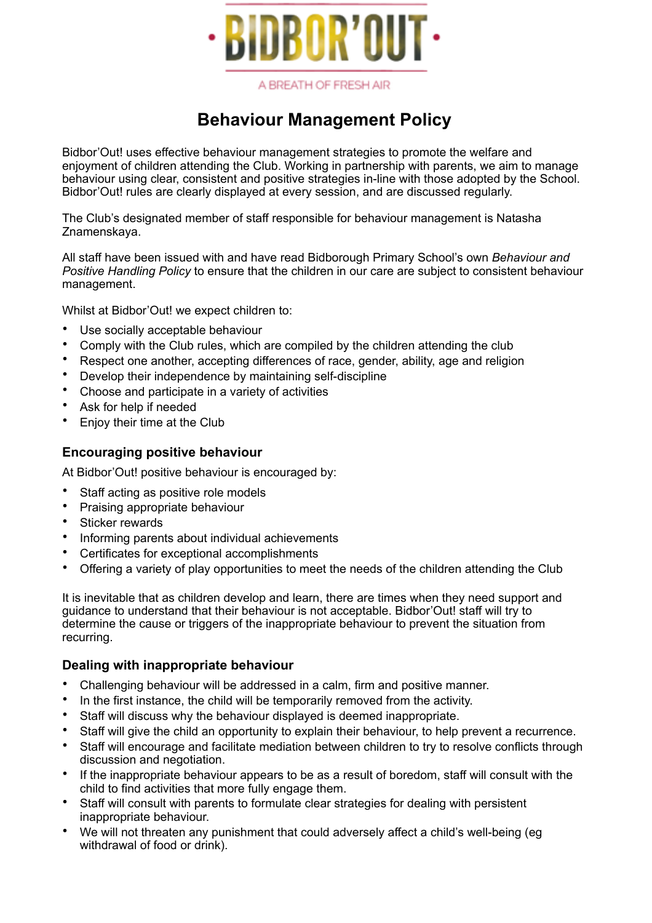

# **Behaviour Management Policy**

Bidbor'Out! uses effective behaviour management strategies to promote the welfare and enjoyment of children attending the Club. Working in partnership with parents, we aim to manage behaviour using clear, consistent and positive strategies in-line with those adopted by the School. Bidbor'Out! rules are clearly displayed at every session, and are discussed regularly.

The Club's designated member of staff responsible for behaviour management is Natasha Znamenskaya.

All staff have been issued with and have read Bidborough Primary School's own *Behaviour and Positive Handling Policy* to ensure that the children in our care are subject to consistent behaviour management.

Whilst at Bidbor'Out! we expect children to:

- Use socially acceptable behaviour
- Comply with the Club rules, which are compiled by the children attending the club
- Respect one another, accepting differences of race, gender, ability, age and religion
- Develop their independence by maintaining self-discipline
- Choose and participate in a variety of activities
- Ask for help if needed
- Enjoy their time at the Club

### **Encouraging positive behaviour**

At Bidbor'Out! positive behaviour is encouraged by:

- Staff acting as positive role models
- Praising appropriate behaviour
- Sticker rewards
- Informing parents about individual achievements
- Certificates for exceptional accomplishments
- Offering a variety of play opportunities to meet the needs of the children attending the Club

It is inevitable that as children develop and learn, there are times when they need support and guidance to understand that their behaviour is not acceptable. Bidbor'Out! staff will try to determine the cause or triggers of the inappropriate behaviour to prevent the situation from recurring.

### **Dealing with inappropriate behaviour**

- Challenging behaviour will be addressed in a calm, firm and positive manner.
- In the first instance, the child will be temporarily removed from the activity.
- Staff will discuss why the behaviour displayed is deemed inappropriate.
- Staff will give the child an opportunity to explain their behaviour, to help prevent a recurrence.
- Staff will encourage and facilitate mediation between children to try to resolve conflicts through discussion and negotiation.
- If the inappropriate behaviour appears to be as a result of boredom, staff will consult with the child to find activities that more fully engage them.
- Staff will consult with parents to formulate clear strategies for dealing with persistent inappropriate behaviour.
- We will not threaten any punishment that could adversely affect a child's well-being (eg withdrawal of food or drink).